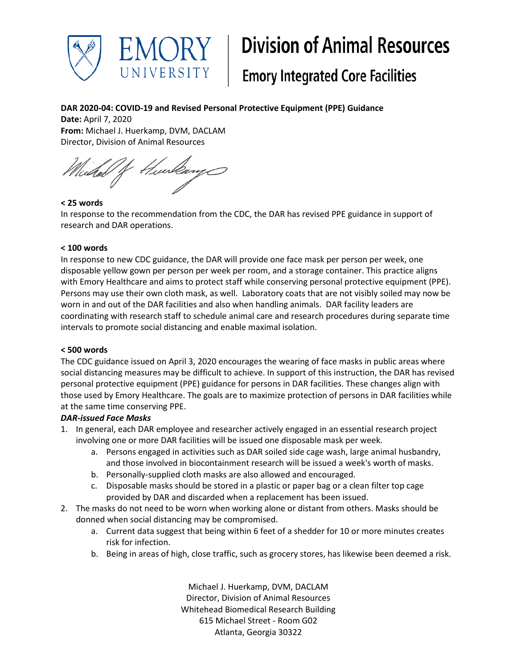

# **Division of Animal Resources**

# **Emory Integrated Core Facilities**

## **DAR 2020-04: COVID-19 and Revised Personal Protective Equipment (PPE) Guidance**

**Date:** April 7, 2020 **From:** Michael J. Huerkamp, DVM, DACLAM Director, Division of Animal Resources

/f Hurlang cedal

#### **< 25 words**

In response to the recommendation from the CDC, the DAR has revised PPE guidance in support of research and DAR operations.

#### **< 100 words**

In response to new CDC guidance, the DAR will provide one face mask per person per week, one disposable yellow gown per person per week per room, and a storage container. This practice aligns with Emory Healthcare and aims to protect staff while conserving personal protective equipment (PPE). Persons may use their own cloth mask, as well. Laboratory coats that are not visibly soiled may now be worn in and out of the DAR facilities and also when handling animals. DAR facility leaders are coordinating with research staff to schedule animal care and research procedures during separate time intervals to promote social distancing and enable maximal isolation.

#### **< 500 words**

The CDC guidance issued on April 3, 2020 encourages the wearing of face masks in public areas where social distancing measures may be difficult to achieve. In support of this instruction, the DAR has revised personal protective equipment (PPE) guidance for persons in DAR facilities. These changes align with those used by Emory Healthcare. The goals are to maximize protection of persons in DAR facilities while at the same time conserving PPE.

### *DAR-issued Face Masks*

- 1. In general, each DAR employee and researcher actively engaged in an essential research project involving one or more DAR facilities will be issued one disposable mask per week.
	- a. Persons engaged in activities such as DAR soiled side cage wash, large animal husbandry, and those involved in biocontainment research will be issued a week's worth of masks.
	- b. Personally-supplied cloth masks are also allowed and encouraged.
	- c. Disposable masks should be stored in a plastic or paper bag or a clean filter top cage provided by DAR and discarded when a replacement has been issued.
- 2. The masks do not need to be worn when working alone or distant from others. Masks should be donned when social distancing may be compromised.
	- a. Current data suggest that being within 6 feet of a shedder for 10 or more minutes creates risk for infection.
	- b. Being in areas of high, close traffic, such as grocery stores, has likewise been deemed a risk.

Michael J. Huerkamp, DVM, DACLAM Director, Division of Animal Resources Whitehead Biomedical Research Building 615 Michael Street - Room G02 Atlanta, Georgia 30322